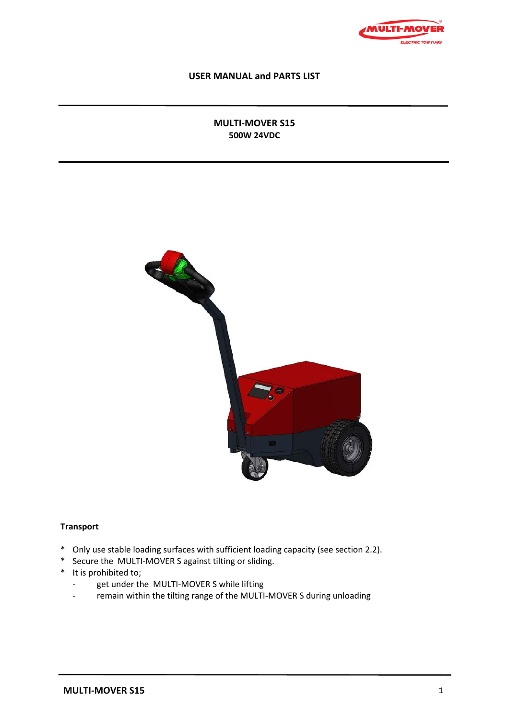

## **USER MANUAL and PARTS LIST**

# **MULTI-MOVER S15 500W 24VDC**



### **Transport**

- \* Only use stable loading surfaces with sufficient loading capacity (see section 2.2).
- \* Secure the MULTI-MOVER S against tilting or sliding.
- \* It is prohibited to;
	- get under the MULTI-MOVER S while lifting
	- remain within the tilting range of the MULTI-MOVER S during unloading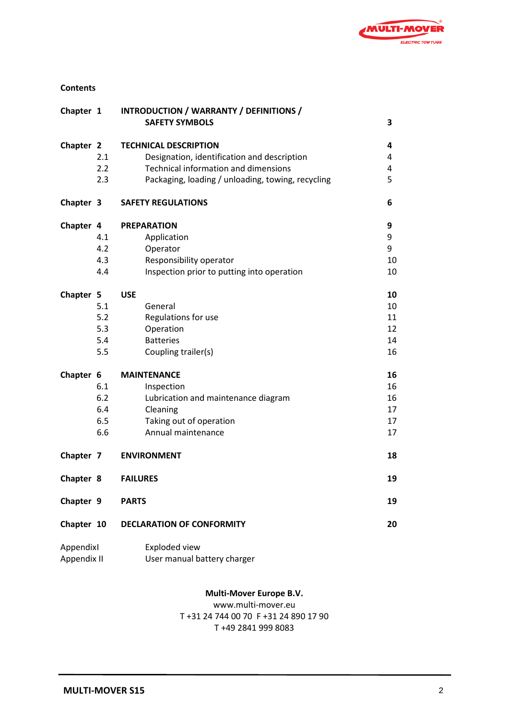

### **Contents**

| Chapter 1                |     | INTRODUCTION / WARRANTY / DEFINITIONS /           |    |
|--------------------------|-----|---------------------------------------------------|----|
|                          |     | <b>SAFETY SYMBOLS</b>                             | 3  |
| Chapter 2                |     | <b>TECHNICAL DESCRIPTION</b>                      | 4  |
|                          | 2.1 | Designation, identification and description       | 4  |
|                          | 2.2 | <b>Technical information and dimensions</b>       | 4  |
|                          | 2.3 | Packaging, loading / unloading, towing, recycling | 5  |
| Chapter 3                |     | <b>SAFETY REGULATIONS</b>                         | 6  |
| Chapter 4                |     | <b>PREPARATION</b>                                | 9  |
|                          | 4.1 | Application                                       | 9  |
|                          | 4.2 | Operator                                          | 9  |
|                          | 4.3 | Responsibility operator                           | 10 |
|                          | 4.4 | Inspection prior to putting into operation        | 10 |
| Chapter 5                |     | <b>USE</b>                                        | 10 |
|                          | 5.1 | General                                           | 10 |
|                          | 5.2 | Regulations for use                               | 11 |
|                          | 5.3 | Operation                                         | 12 |
|                          | 5.4 | <b>Batteries</b>                                  | 14 |
|                          | 5.5 | Coupling trailer(s)                               | 16 |
| Chapter 6                |     | <b>MAINTENANCE</b>                                | 16 |
|                          | 6.1 | Inspection                                        | 16 |
|                          | 6.2 | Lubrication and maintenance diagram               | 16 |
|                          | 6.4 | Cleaning                                          | 17 |
|                          | 6.5 | Taking out of operation                           | 17 |
|                          | 6.6 | Annual maintenance                                | 17 |
| Chapter 7                |     | <b>ENVIRONMENT</b>                                | 18 |
| Chapter 8                |     | <b>FAILURES</b>                                   | 19 |
| Chapter 9                |     | <b>PARTS</b>                                      | 19 |
| Chapter 10               |     | <b>DECLARATION OF CONFORMITY</b>                  | 20 |
| Appendixl<br>Appendix II |     | Exploded view                                     |    |
|                          |     | User manual battery charger                       |    |

### **Multi-Mover Europe B.V.**

www.multi-mover.eu T +31 24 744 00 70 F +31 24 890 17 90 T +49 2841 999 8083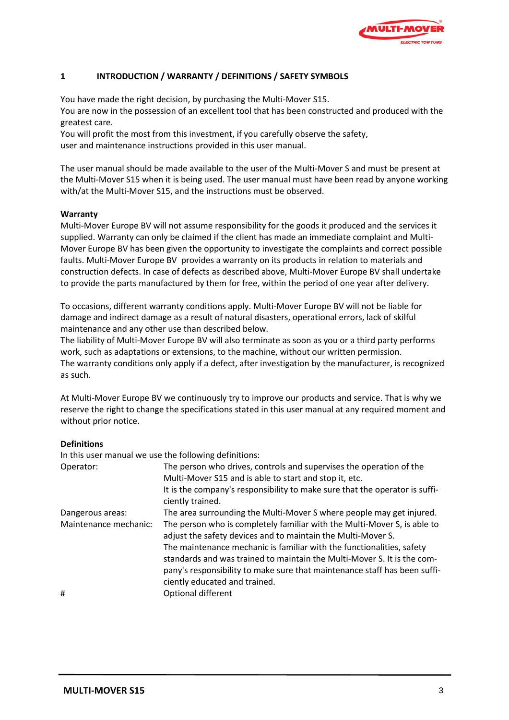

# **1 INTRODUCTION / WARRANTY / DEFINITIONS / SAFETY SYMBOLS**

You have made the right decision, by purchasing the Multi-Mover S15.

You are now in the possession of an excellent tool that has been constructed and produced with the greatest care.

You will profit the most from this investment, if you carefully observe the safety, user and maintenance instructions provided in this user manual.

The user manual should be made available to the user of the Multi-Mover S and must be present at the Multi-Mover S15 when it is being used. The user manual must have been read by anyone working with/at the Multi-Mover S15, and the instructions must be observed.

#### **Warranty**

Multi-Mover Europe BV will not assume responsibility for the goods it produced and the services it supplied. Warranty can only be claimed if the client has made an immediate complaint and Multi-Mover Europe BV has been given the opportunity to investigate the complaints and correct possible faults. Multi-Mover Europe BV provides a warranty on its products in relation to materials and construction defects. In case of defects as described above, Multi-Mover Europe BV shall undertake to provide the parts manufactured by them for free, within the period of one year after delivery.

To occasions, different warranty conditions apply. Multi-Mover Europe BV will not be liable for damage and indirect damage as a result of natural disasters, operational errors, lack of skilful maintenance and any other use than described below.

The liability of Multi-Mover Europe BV will also terminate as soon as you or a third party performs work, such as adaptations or extensions, to the machine, without our written permission. The warranty conditions only apply if a defect, after investigation by the manufacturer, is recognized as such.

At Multi-Mover Europe BV we continuously try to improve our products and service. That is why we reserve the right to change the specifications stated in this user manual at any required moment and without prior notice.

#### **Definitions**

In this user manual we use the following definitions:

| Operator:             | The person who drives, controls and supervises the operation of the<br>Multi-Mover S15 and is able to start and stop it, etc.<br>It is the company's responsibility to make sure that the operator is suffi-                                                                                 |
|-----------------------|----------------------------------------------------------------------------------------------------------------------------------------------------------------------------------------------------------------------------------------------------------------------------------------------|
|                       | ciently trained.                                                                                                                                                                                                                                                                             |
| Dangerous areas:      | The area surrounding the Multi-Mover S where people may get injured.                                                                                                                                                                                                                         |
| Maintenance mechanic: | The person who is completely familiar with the Multi-Mover S, is able to<br>adjust the safety devices and to maintain the Multi-Mover S.<br>The maintenance mechanic is familiar with the functionalities, safety<br>standards and was trained to maintain the Multi-Mover S. It is the com- |
|                       | pany's responsibility to make sure that maintenance staff has been suffi-<br>ciently educated and trained.                                                                                                                                                                                   |
| #                     | Optional different                                                                                                                                                                                                                                                                           |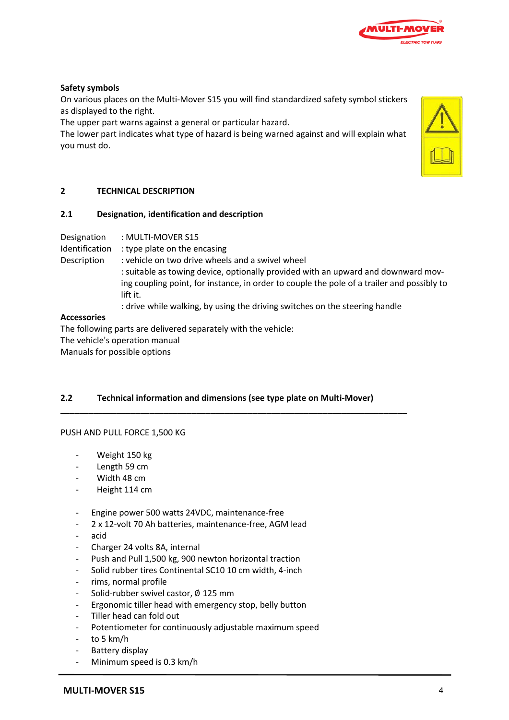

### **Safety symbols**

On various places on the Multi-Mover S15 you will find standardized safety symbol stickers as displayed to the right.

The upper part warns against a general or particular hazard.

The lower part indicates what type of hazard is being warned against and will explain what you must do.



### **2 TECHNICAL DESCRIPTION**

#### **2.1 Designation, identification and description**

Designation : MULTI-MOVER S15

Identification : type plate on the encasing

- Description : vehicle on two drive wheels and a swivel wheel
	- : suitable as towing device, optionally provided with an upward and downward moving coupling point, for instance, in order to couple the pole of a trailer and possibly to lift it.
		- : drive while walking, by using the driving switches on the steering handle

#### **Accessories**

The following parts are delivered separately with the vehicle: The vehicle's operation manual Manuals for possible options

# **2.2 Technical information and dimensions (see type plate on Multi-Mover)**

**\_\_\_\_\_\_\_\_\_\_\_\_\_\_\_\_\_\_\_\_\_\_\_\_\_\_\_\_\_\_\_\_\_\_\_\_\_\_\_\_\_\_\_\_\_\_\_\_\_\_\_\_\_\_\_\_\_\_\_\_\_\_\_\_\_\_\_\_\_\_\_\_\_\_**

#### PUSH AND PULL FORCE 1,500 KG

- Weight 150 kg
- Length 59 cm
- Width 48 cm
- Height 114 cm
- Engine power 500 watts 24VDC, maintenance-free
- 2 x 12-volt 70 Ah batteries, maintenance-free, AGM lead
- acid
- Charger 24 volts 8A, internal
- Push and Pull 1,500 kg, 900 newton horizontal traction
- Solid rubber tires Continental SC10 10 cm width, 4-inch
- rims, normal profile
- Solid-rubber swivel castor, ∅ 125 mm
- Ergonomic tiller head with emergency stop, belly button
- Tiller head can fold out
- Potentiometer for continuously adjustable maximum speed
- to 5 km/h
- Battery display
- Minimum speed is 0.3 km/h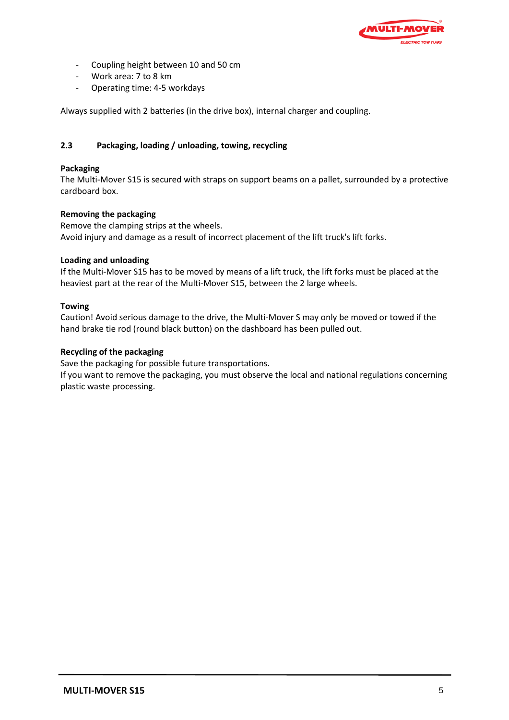

- Coupling height between 10 and 50 cm
- Work area: 7 to 8 km
- Operating time: 4-5 workdays

Always supplied with 2 batteries (in the drive box), internal charger and coupling.

# **2.3 Packaging, loading / unloading, towing, recycling**

## **Packaging**

The Multi-Mover S15 is secured with straps on support beams on a pallet, surrounded by a protective cardboard box.

### **Removing the packaging**

Remove the clamping strips at the wheels. Avoid injury and damage as a result of incorrect placement of the lift truck's lift forks.

### **Loading and unloading**

If the Multi-Mover S15 has to be moved by means of a lift truck, the lift forks must be placed at the heaviest part at the rear of the Multi-Mover S15, between the 2 large wheels.

### **Towing**

Caution! Avoid serious damage to the drive, the Multi-Mover S may only be moved or towed if the hand brake tie rod (round black button) on the dashboard has been pulled out.

### **Recycling of the packaging**

Save the packaging for possible future transportations.

If you want to remove the packaging, you must observe the local and national regulations concerning plastic waste processing.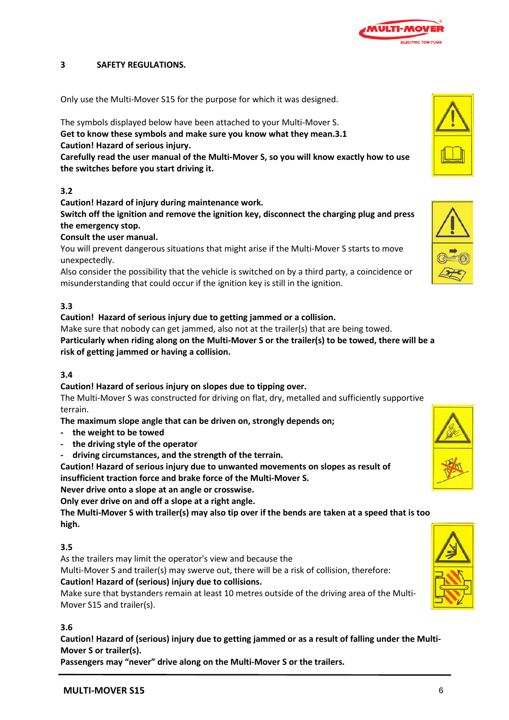

### **3 SAFETY REGULATIONS.**

Only use the Multi-Mover S15 for the purpose for which it was designed.

The symbols displayed below have been attached to your Multi-Mover S. **Get to know these symbols and make sure you know what they mean.3.1 Caution! Hazard of serious injury.** 

**Carefully read the user manual of the Multi-Mover S, so you will know exactly how to use the switches before you start driving it.**

### **3.2**

**Caution! Hazard of injury during maintenance work.**

**Switch off the ignition and remove the ignition key, disconnect the charging plug and press the emergency stop.**

**Consult the user manual.**

You will prevent dangerous situations that might arise if the Multi-Mover S starts to move unexpectedly.

Also consider the possibility that the vehicle is switched on by a third party, a coincidence or misunderstanding that could occur if the ignition key is still in the ignition.

### **3.3**

### **Caution! Hazard of serious injury due to getting jammed or a collision.**

Make sure that nobody can get jammed, also not at the trailer(s) that are being towed.

**Particularly when riding along on the Multi-Mover S or the trailer(s) to be towed, there will be a risk of getting jammed or having a collision.**

# **3.4**

#### **Caution! Hazard of serious injury on slopes due to tipping over.**

The Multi-Mover S was constructed for driving on flat, dry, metalled and sufficiently supportive terrain.

**The maximum slope angle that can be driven on, strongly depends on;** 

- **- the weight to be towed**
- **- the driving style of the operator**
- **driving circumstances, and the strength of the terrain.**

**Caution! Hazard of serious injury due to unwanted movements on slopes as result of insufficient traction force and brake force of the Multi-Mover S.**

**Never drive onto a slope at an angle or crosswise.**

**Only ever drive on and off a slope at a right angle.**

**The Multi-Mover S with trailer(s) may also tip over if the bends are taken at a speed that is too high.**

#### **3.5**

As the trailers may limit the operator's view and because the

Multi-Mover S and trailer(s) may swerve out, there will be a risk of collision, therefore: **Caution! Hazard of (serious) injury due to collisions.** 

Make sure that bystanders remain at least 10 metres outside of the driving area of the Multi-Mover S15 and trailer(s).

#### **3.6**

**Caution! Hazard of (serious) injury due to getting jammed or as a result of falling under the Multi-Mover S or trailer(s).**

**Passengers may "never" drive along on the Multi-Mover S or the trailers.**







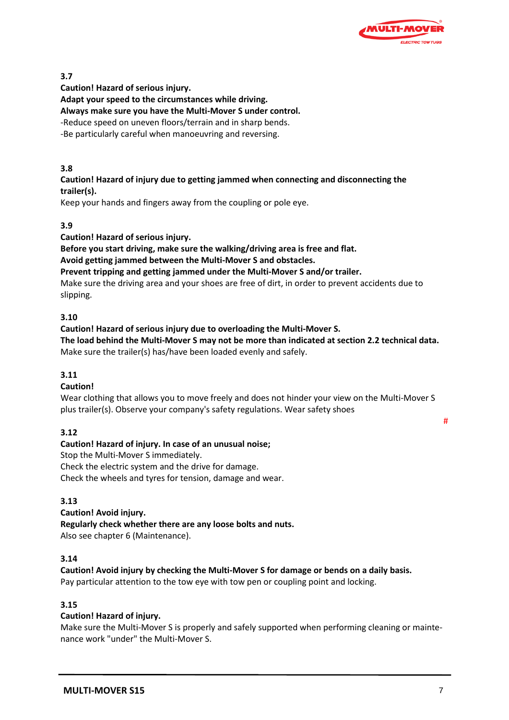

# **3.7**

**Caution! Hazard of serious injury.**

**Adapt your speed to the circumstances while driving.** 

**Always make sure you have the Multi-Mover S under control.**

-Reduce speed on uneven floors/terrain and in sharp bends.

-Be particularly careful when manoeuvring and reversing.

# **3.8**

## **Caution! Hazard of injury due to getting jammed when connecting and disconnecting the trailer(s).**

Keep your hands and fingers away from the coupling or pole eye.

# **3.9**

**Caution! Hazard of serious injury.**

**Before you start driving, make sure the walking/driving area is free and flat.**

**Avoid getting jammed between the Multi-Mover S and obstacles.**

**Prevent tripping and getting jammed under the Multi-Mover S and/or trailer.**

Make sure the driving area and your shoes are free of dirt, in order to prevent accidents due to slipping.

# **3.10**

**Caution! Hazard of serious injury due to overloading the Multi-Mover S. The load behind the Multi-Mover S may not be more than indicated at section 2.2 technical data.** Make sure the trailer(s) has/have been loaded evenly and safely.

# **3.11**

# **Caution!**

Wear clothing that allows you to move freely and does not hinder your view on the Multi-Mover S plus trailer(s). Observe your company's safety regulations. Wear safety shoes

# **3.12**

**Caution! Hazard of injury. In case of an unusual noise;**

Stop the Multi-Mover S immediately.

Check the electric system and the drive for damage.

Check the wheels and tyres for tension, damage and wear.

# **3.13**

**Caution! Avoid injury. Regularly check whether there are any loose bolts and nuts.** Also see chapter 6 (Maintenance).

# **3.14**

**Caution! Avoid injury by checking the Multi-Mover S for damage or bends on a daily basis.**

Pay particular attention to the tow eye with tow pen or coupling point and locking.

# **3.15**

# **Caution! Hazard of injury.**

Make sure the Multi-Mover S is properly and safely supported when performing cleaning or maintenance work "under" the Multi-Mover S.

#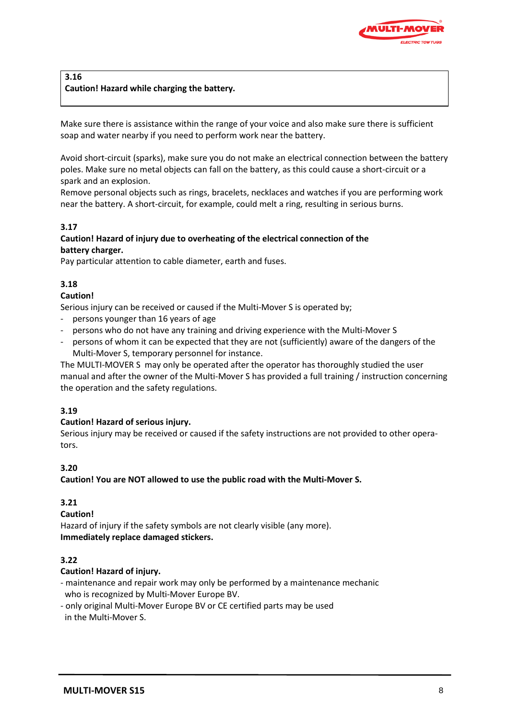

# **3.16 Caution! Hazard while charging the battery.**

Make sure there is assistance within the range of your voice and also make sure there is sufficient soap and water nearby if you need to perform work near the battery.

Avoid short-circuit (sparks), make sure you do not make an electrical connection between the battery poles. Make sure no metal objects can fall on the battery, as this could cause a short-circuit or a spark and an explosion.

Remove personal objects such as rings, bracelets, necklaces and watches if you are performing work near the battery. A short-circuit, for example, could melt a ring, resulting in serious burns.

# **3.17**

# **Caution! Hazard of injury due to overheating of the electrical connection of the battery charger.**

Pay particular attention to cable diameter, earth and fuses.

# **3.18**

# **Caution!**

Serious injury can be received or caused if the Multi-Mover S is operated by;

- persons younger than 16 years of age
- persons who do not have any training and driving experience with the Multi-Mover S
- persons of whom it can be expected that they are not (sufficiently) aware of the dangers of the Multi-Mover S, temporary personnel for instance.

The MULTI-MOVER S may only be operated after the operator has thoroughly studied the user manual and after the owner of the Multi-Mover S has provided a full training / instruction concerning the operation and the safety regulations.

# **3.19**

# **Caution! Hazard of serious injury.**

Serious injury may be received or caused if the safety instructions are not provided to other operators.

# **3.20**

**Caution! You are NOT allowed to use the public road with the Multi-Mover S.**

# **3.21**

# **Caution!**

Hazard of injury if the safety symbols are not clearly visible (any more). **Immediately replace damaged stickers.**

# **3.22**

# **Caution! Hazard of injury.**

- maintenance and repair work may only be performed by a maintenance mechanic who is recognized by Multi-Mover Europe BV.
- only original Multi-Mover Europe BV or CE certified parts may be used in the Multi-Mover S.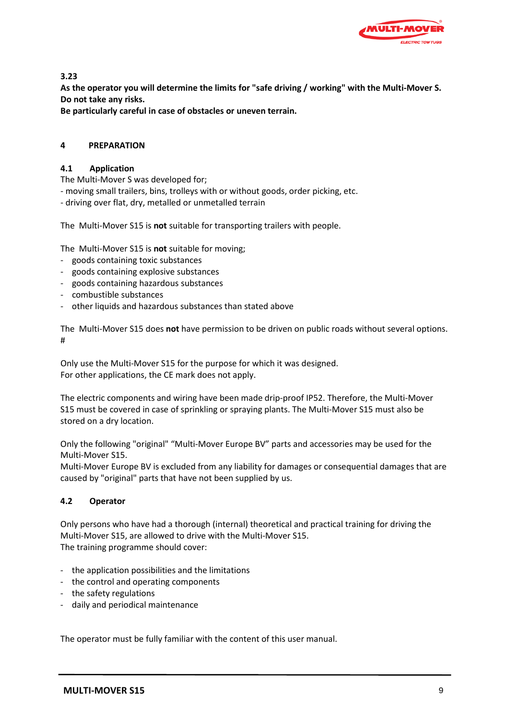

**3.23**

**As the operator you will determine the limits for "safe driving / working" with the Multi-Mover S. Do not take any risks.**

**Be particularly careful in case of obstacles or uneven terrain.** 

# **4 PREPARATION**

# **4.1 Application**

The Multi-Mover S was developed for;

- moving small trailers, bins, trolleys with or without goods, order picking, etc.

- driving over flat, dry, metalled or unmetalled terrain

The Multi-Mover S15 is **not** suitable for transporting trailers with people.

The Multi-Mover S15 is **not** suitable for moving;

- goods containing toxic substances
- goods containing explosive substances
- goods containing hazardous substances
- combustible substances
- other liquids and hazardous substances than stated above

The Multi-Mover S15 does **not** have permission to be driven on public roads without several options. #

Only use the Multi-Mover S15 for the purpose for which it was designed. For other applications, the CE mark does not apply.

The electric components and wiring have been made drip-proof IP52. Therefore, the Multi-Mover S15 must be covered in case of sprinkling or spraying plants. The Multi-Mover S15 must also be stored on a dry location.

Only the following "original" "Multi-Mover Europe BV" parts and accessories may be used for the Multi-Mover S15.

Multi-Mover Europe BV is excluded from any liability for damages or consequential damages that are caused by "original" parts that have not been supplied by us.

# **4.2 Operator**

Only persons who have had a thorough (internal) theoretical and practical training for driving the Multi-Mover S15, are allowed to drive with the Multi-Mover S15. The training programme should cover:

- the application possibilities and the limitations
- the control and operating components
- the safety regulations
- daily and periodical maintenance

The operator must be fully familiar with the content of this user manual.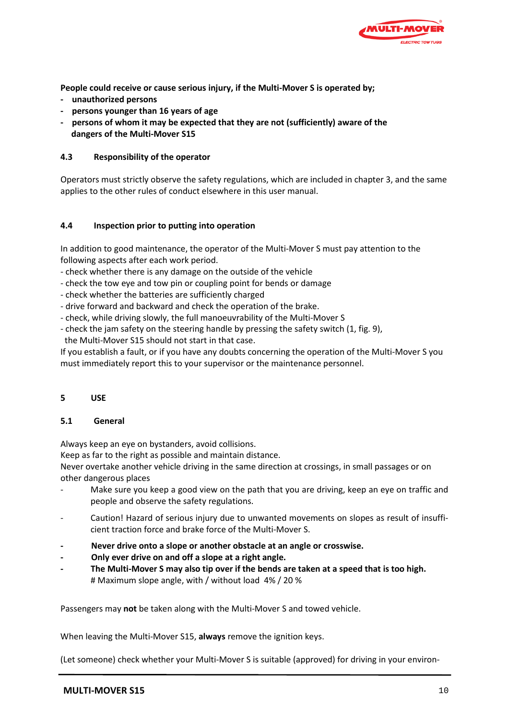

**People could receive or cause serious injury, if the Multi-Mover S is operated by;**

- **unauthorized persons**
- **persons younger than 16 years of age**
- **persons of whom it may be expected that they are not (sufficiently) aware of the dangers of the Multi-Mover S15**

### **4.3 Responsibility of the operator**

Operators must strictly observe the safety regulations, which are included in chapter 3, and the same applies to the other rules of conduct elsewhere in this user manual.

### **4.4 Inspection prior to putting into operation**

In addition to good maintenance, the operator of the Multi-Mover S must pay attention to the following aspects after each work period.

- check whether there is any damage on the outside of the vehicle
- check the tow eye and tow pin or coupling point for bends or damage
- check whether the batteries are sufficiently charged
- drive forward and backward and check the operation of the brake.
- check, while driving slowly, the full manoeuvrability of the Multi-Mover S
- check the jam safety on the steering handle by pressing the safety switch (1, fig. 9), the Multi-Mover S15 should not start in that case.

If you establish a fault, or if you have any doubts concerning the operation of the Multi-Mover S you must immediately report this to your supervisor or the maintenance personnel.

#### **5 USE**

#### **5.1 General**

Always keep an eye on bystanders, avoid collisions.

Keep as far to the right as possible and maintain distance.

Never overtake another vehicle driving in the same direction at crossings, in small passages or on other dangerous places

- Make sure you keep a good view on the path that you are driving, keep an eye on traffic and people and observe the safety regulations.
- Caution! Hazard of serious injury due to unwanted movements on slopes as result of insufficient traction force and brake force of the Multi-Mover S.
- **- Never drive onto a slope or another obstacle at an angle or crosswise.**
- **- Only ever drive on and off a slope at a right angle.**
- **- The Multi-Mover S may also tip over if the bends are taken at a speed that is too high.** # Maximum slope angle, with / without load 4% / 20 %

Passengers may **not** be taken along with the Multi-Mover S and towed vehicle.

When leaving the Multi-Mover S15, **always** remove the ignition keys.

(Let someone) check whether your Multi-Mover S is suitable (approved) for driving in your environ-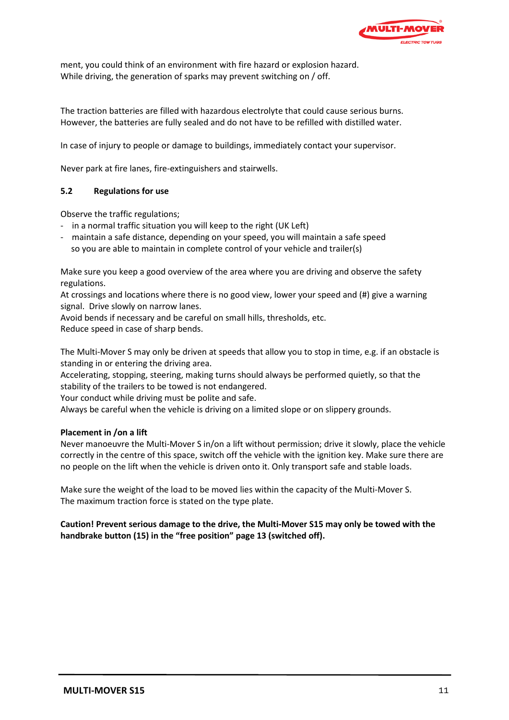

ment, you could think of an environment with fire hazard or explosion hazard. While driving, the generation of sparks may prevent switching on / off.

The traction batteries are filled with hazardous electrolyte that could cause serious burns. However, the batteries are fully sealed and do not have to be refilled with distilled water.

In case of injury to people or damage to buildings, immediately contact your supervisor.

Never park at fire lanes, fire-extinguishers and stairwells.

#### **5.2 Regulations for use**

Observe the traffic regulations;

- in a normal traffic situation you will keep to the right (UK Left)
- maintain a safe distance, depending on your speed, you will maintain a safe speed so you are able to maintain in complete control of your vehicle and trailer(s)

Make sure you keep a good overview of the area where you are driving and observe the safety regulations.

At crossings and locations where there is no good view, lower your speed and (#) give a warning signal. Drive slowly on narrow lanes.

Avoid bends if necessary and be careful on small hills, thresholds, etc.

Reduce speed in case of sharp bends.

The Multi-Mover S may only be driven at speeds that allow you to stop in time, e.g. if an obstacle is standing in or entering the driving area.

Accelerating, stopping, steering, making turns should always be performed quietly, so that the stability of the trailers to be towed is not endangered.

Your conduct while driving must be polite and safe.

Always be careful when the vehicle is driving on a limited slope or on slippery grounds.

#### **Placement in /on a lift**

Never manoeuvre the Multi-Mover S in/on a lift without permission; drive it slowly, place the vehicle correctly in the centre of this space, switch off the vehicle with the ignition key. Make sure there are no people on the lift when the vehicle is driven onto it. Only transport safe and stable loads.

Make sure the weight of the load to be moved lies within the capacity of the Multi-Mover S. The maximum traction force is stated on the type plate.

**Caution! Prevent serious damage to the drive, the Multi-Mover S15 may only be towed with the handbrake button (15) in the "free position" page 13 (switched off).**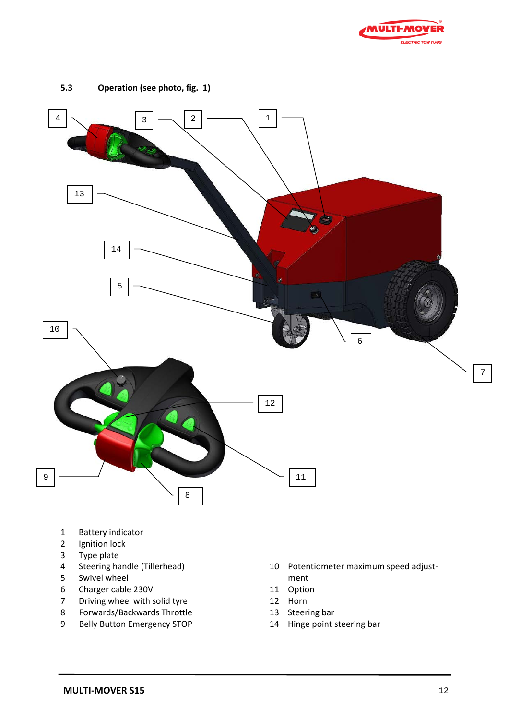



**5.3 Operation (see photo, fig. 1)**

- Battery indicator
- Ignition lock
- Type plate
- Steering handle (Tillerhead)
- 5 Swivel wheel<br>6 Charger cable
- Charger cable 230V
- Driving wheel with solid tyre
- Forwards/Backwards Throttle
- Belly Button Emergency STOP
- Potentiometer maximum speed adjustment
- Option
- Horn
- Steering bar
- Hinge point steering bar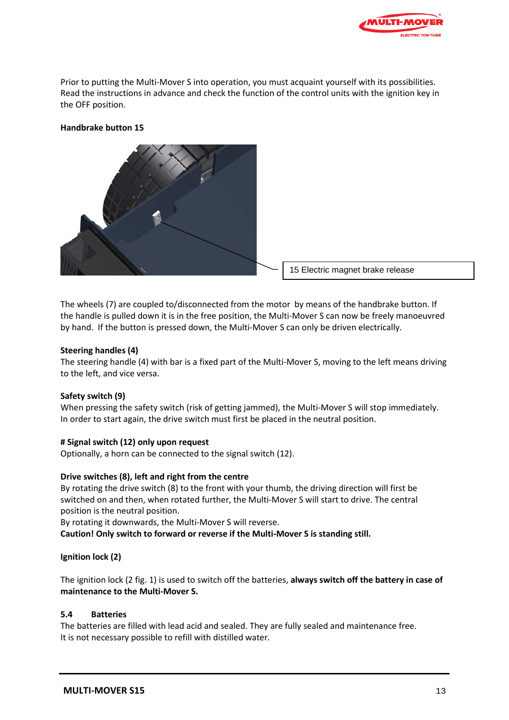

Prior to putting the Multi-Mover S into operation, you must acquaint yourself with its possibilities. Read the instructions in advance and check the function of the control units with the ignition key in the OFF position.

### **Handbrake button 15**



The wheels (7) are coupled to/disconnected from the motor by means of the handbrake button. If the handle is pulled down it is in the free position, the Multi-Mover S can now be freely manoeuvred by hand. If the button is pressed down, the Multi-Mover S can only be driven electrically.

#### **Steering handles (4)**

The steering handle (4) with bar is a fixed part of the Multi-Mover S, moving to the left means driving to the left, and vice versa.

#### **Safety switch (9)**

When pressing the safety switch (risk of getting jammed), the Multi-Mover S will stop immediately. In order to start again, the drive switch must first be placed in the neutral position.

#### **# Signal switch (12) only upon request**

Optionally, a horn can be connected to the signal switch (12).

#### **Drive switches (8), left and right from the centre**

By rotating the drive switch (8) to the front with your thumb, the driving direction will first be switched on and then, when rotated further, the Multi-Mover S will start to drive. The central position is the neutral position.

By rotating it downwards, the Multi-Mover S will reverse.

**Caution! Only switch to forward or reverse if the Multi-Mover S is standing still.**

#### **Ignition lock (2)**

The ignition lock (2 fig. 1) is used to switch off the batteries, **always switch off the battery in case of maintenance to the Multi-Mover S.**

#### **5.4 Batteries**

The batteries are filled with lead acid and sealed. They are fully sealed and maintenance free. It is not necessary possible to refill with distilled water.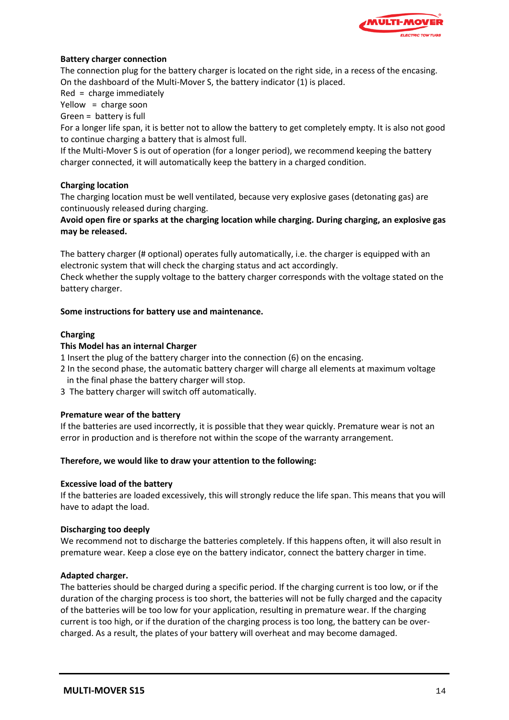

### **Battery charger connection**

The connection plug for the battery charger is located on the right side, in a recess of the encasing. On the dashboard of the Multi-Mover S, the battery indicator (1) is placed.

Red = charge immediately

Yellow = charge soon

Green = battery is full

For a longer life span, it is better not to allow the battery to get completely empty. It is also not good to continue charging a battery that is almost full.

If the Multi-Mover S is out of operation (for a longer period), we recommend keeping the battery charger connected, it will automatically keep the battery in a charged condition.

### **Charging location**

The charging location must be well ventilated, because very explosive gases (detonating gas) are continuously released during charging.

**Avoid open fire or sparks at the charging location while charging. During charging, an explosive gas may be released.** 

The battery charger (# optional) operates fully automatically, i.e. the charger is equipped with an electronic system that will check the charging status and act accordingly.

Check whether the supply voltage to the battery charger corresponds with the voltage stated on the battery charger.

#### **Some instructions for battery use and maintenance.**

### **Charging**

### **This Model has an internal Charger**

1 Insert the plug of the battery charger into the connection (6) on the encasing.

- 2 In the second phase, the automatic battery charger will charge all elements at maximum voltage in the final phase the battery charger will stop.
- 3 The battery charger will switch off automatically.

#### **Premature wear of the battery**

If the batteries are used incorrectly, it is possible that they wear quickly. Premature wear is not an error in production and is therefore not within the scope of the warranty arrangement.

#### **Therefore, we would like to draw your attention to the following:**

#### **Excessive load of the battery**

If the batteries are loaded excessively, this will strongly reduce the life span. This means that you will have to adapt the load.

#### **Discharging too deeply**

We recommend not to discharge the batteries completely. If this happens often, it will also result in premature wear. Keep a close eye on the battery indicator, connect the battery charger in time.

#### **Adapted charger.**

The batteries should be charged during a specific period. If the charging current is too low, or if the duration of the charging process is too short, the batteries will not be fully charged and the capacity of the batteries will be too low for your application, resulting in premature wear. If the charging current is too high, or if the duration of the charging process is too long, the battery can be overcharged. As a result, the plates of your battery will overheat and may become damaged.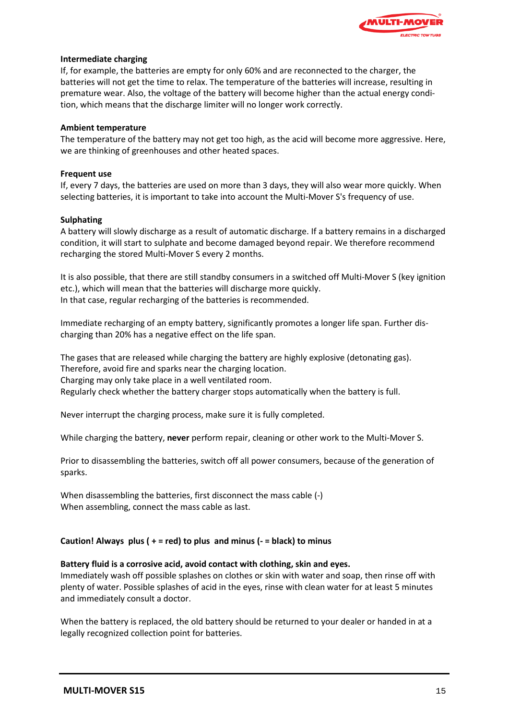

#### **Intermediate charging**

If, for example, the batteries are empty for only 60% and are reconnected to the charger, the batteries will not get the time to relax. The temperature of the batteries will increase, resulting in premature wear. Also, the voltage of the battery will become higher than the actual energy condition, which means that the discharge limiter will no longer work correctly.

#### **Ambient temperature**

The temperature of the battery may not get too high, as the acid will become more aggressive. Here, we are thinking of greenhouses and other heated spaces.

#### **Frequent use**

If, every 7 days, the batteries are used on more than 3 days, they will also wear more quickly. When selecting batteries, it is important to take into account the Multi-Mover S's frequency of use.

#### **Sulphating**

A battery will slowly discharge as a result of automatic discharge. If a battery remains in a discharged condition, it will start to sulphate and become damaged beyond repair. We therefore recommend recharging the stored Multi-Mover S every 2 months.

It is also possible, that there are still standby consumers in a switched off Multi-Mover S (key ignition etc.), which will mean that the batteries will discharge more quickly. In that case, regular recharging of the batteries is recommended.

Immediate recharging of an empty battery, significantly promotes a longer life span. Further discharging than 20% has a negative effect on the life span.

The gases that are released while charging the battery are highly explosive (detonating gas). Therefore, avoid fire and sparks near the charging location. Charging may only take place in a well ventilated room. Regularly check whether the battery charger stops automatically when the battery is full.

Never interrupt the charging process, make sure it is fully completed.

While charging the battery, **never** perform repair, cleaning or other work to the Multi-Mover S.

Prior to disassembling the batteries, switch off all power consumers, because of the generation of sparks.

When disassembling the batteries, first disconnect the mass cable (-) When assembling, connect the mass cable as last.

#### **Caution! Always plus ( + = red) to plus and minus (- = black) to minus**

#### **Battery fluid is a corrosive acid, avoid contact with clothing, skin and eyes.**

Immediately wash off possible splashes on clothes or skin with water and soap, then rinse off with plenty of water. Possible splashes of acid in the eyes, rinse with clean water for at least 5 minutes and immediately consult a doctor.

When the battery is replaced, the old battery should be returned to your dealer or handed in at a legally recognized collection point for batteries.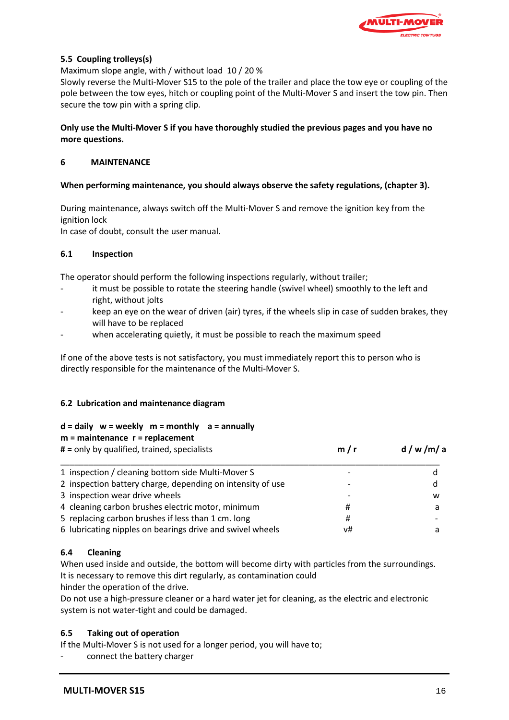

## **5.5 Coupling trolleys(s)**

Maximum slope angle, with / without load 10 / 20 %

Slowly reverse the Multi-Mover S15 to the pole of the trailer and place the tow eye or coupling of the pole between the tow eyes, hitch or coupling point of the Multi-Mover S and insert the tow pin. Then secure the tow pin with a spring clip.

### **Only use the Multi-Mover S if you have thoroughly studied the previous pages and you have no more questions.**

### **6 MAINTENANCE**

### **When performing maintenance, you should always observe the safety regulations, (chapter 3).**

During maintenance, always switch off the Multi-Mover S and remove the ignition key from the ignition lock

In case of doubt, consult the user manual.

### **6.1 Inspection**

The operator should perform the following inspections regularly, without trailer;

- it must be possible to rotate the steering handle (swivel wheel) smoothly to the left and right, without jolts
- keep an eye on the wear of driven (air) tyres, if the wheels slip in case of sudden brakes, they will have to be replaced
- when accelerating quietly, it must be possible to reach the maximum speed

If one of the above tests is not satisfactory, you must immediately report this to person who is directly responsible for the maintenance of the Multi-Mover S.

# **6.2 Lubrication and maintenance diagram**

#### **d = daily w = weekly m = monthly a = annually**

| $m =$ maintenance $r =$ replacement                                                                                                                                                                                            |  |
|--------------------------------------------------------------------------------------------------------------------------------------------------------------------------------------------------------------------------------|--|
| and the second the contract of the second and second the contract of the second second second the second second second second second second second second second second second second second second second second second secon |  |

| # = only by qualified, trained, specialists                | m/r | d/w/m/a |  |
|------------------------------------------------------------|-----|---------|--|
| 1 inspection / cleaning bottom side Multi-Mover S          |     |         |  |
| 2 inspection battery charge, depending on intensity of use |     | d       |  |
| 3 inspection wear drive wheels                             |     | w       |  |
| 4 cleaning carbon brushes electric motor, minimum          | #   |         |  |
| 5 replacing carbon brushes if less than 1 cm. long         | Ħ   |         |  |
| 6 lubricating nipples on bearings drive and swivel wheels  | v#  |         |  |

# **6.4 Cleaning**

When used inside and outside, the bottom will become dirty with particles from the surroundings. It is necessary to remove this dirt regularly, as contamination could

hinder the operation of the drive.

Do not use a high-pressure cleaner or a hard water jet for cleaning, as the electric and electronic system is not water-tight and could be damaged.

# **6.5 Taking out of operation**

If the Multi-Mover S is not used for a longer period, you will have to;

connect the battery charger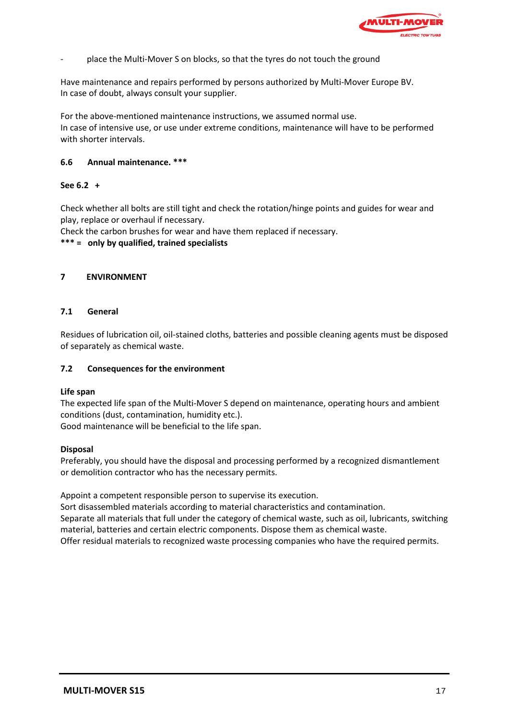

place the Multi-Mover S on blocks, so that the tyres do not touch the ground

Have maintenance and repairs performed by persons authorized by Multi-Mover Europe BV. In case of doubt, always consult your supplier.

For the above-mentioned maintenance instructions, we assumed normal use. In case of intensive use, or use under extreme conditions, maintenance will have to be performed with shorter intervals.

### **6.6 Annual maintenance. \*\*\***

### **See 6.2 +**

Check whether all bolts are still tight and check the rotation/hinge points and guides for wear and play, replace or overhaul if necessary.

Check the carbon brushes for wear and have them replaced if necessary.

**\*\*\* = only by qualified, trained specialists**

### **7 ENVIRONMENT**

### **7.1 General**

Residues of lubrication oil, oil-stained cloths, batteries and possible cleaning agents must be disposed of separately as chemical waste.

#### **7.2 Consequences for the environment**

#### **Life span**

The expected life span of the Multi-Mover S depend on maintenance, operating hours and ambient conditions (dust, contamination, humidity etc.). Good maintenance will be beneficial to the life span.

#### **Disposal**

Preferably, you should have the disposal and processing performed by a recognized dismantlement or demolition contractor who has the necessary permits.

Appoint a competent responsible person to supervise its execution.

Sort disassembled materials according to material characteristics and contamination. Separate all materials that full under the category of chemical waste, such as oil, lubricants, switching material, batteries and certain electric components. Dispose them as chemical waste. Offer residual materials to recognized waste processing companies who have the required permits.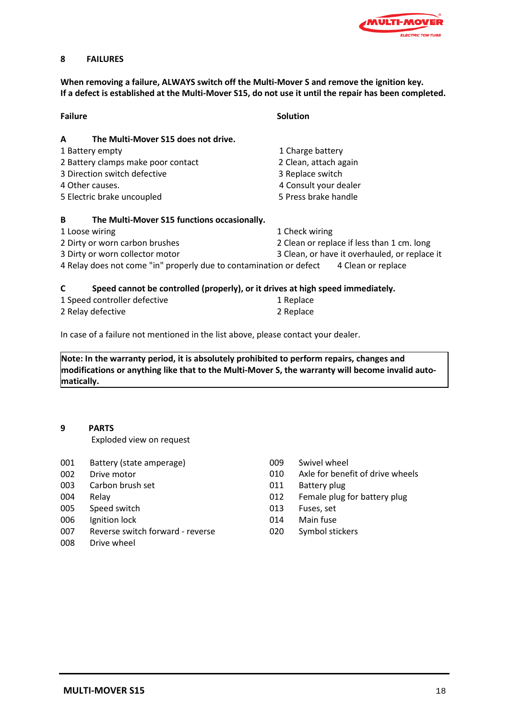

### **8 FAILURES**

**When removing a failure, ALWAYS switch off the Multi-Mover S and remove the ignition key. If a defect is established at the Multi-Mover S15, do not use it until the repair has been completed.**

| <b>Failure</b>                                                                      | <b>Solution</b>                               |  |
|-------------------------------------------------------------------------------------|-----------------------------------------------|--|
| The Multi-Mover S15 does not drive.<br>A                                            |                                               |  |
| 1 Battery empty                                                                     | 1 Charge battery                              |  |
| 2 Battery clamps make poor contact                                                  | 2 Clean, attach again                         |  |
| 3 Direction switch defective                                                        | 3 Replace switch                              |  |
| 4 Other causes.                                                                     | 4 Consult your dealer                         |  |
| 5 Electric brake uncoupled                                                          | 5 Press brake handle                          |  |
| B<br>The Multi-Mover S15 functions occasionally.                                    |                                               |  |
| 1 Loose wiring                                                                      | 1 Check wiring                                |  |
| 2 Dirty or worn carbon brushes                                                      | 2 Clean or replace if less than 1 cm. long    |  |
| 3 Dirty or worn collector motor                                                     | 3 Clean, or have it overhauled, or replace it |  |
| 4 Relay does not come "in" properly due to contamination or defect                  | 4 Clean or replace                            |  |
| C<br>Speed cannot be controlled (properly), or it drives at high speed immediately. |                                               |  |

| 1 Speed controller defective | 1 Replace |  |
|------------------------------|-----------|--|
| 2 Relay defective            | 2 Replace |  |

In case of a failure not mentioned in the list above, please contact your dealer.

**Note: In the warranty period, it is absolutely prohibited to perform repairs, changes and modifications or anything like that to the Multi-Mover S, the warranty will become invalid automatically.**

#### **9 PARTS**

Exploded view on request

- 001 Battery (state amperage)
- 002 Drive motor
- 003 Carbon brush set
- 004 Relay
- 005 Speed switch
- 006 Ignition lock
- 007 Reverse switch forward reverse
- 008 Drive wheel
- 009 Swivel wheel
- 010 Axle for benefit of drive wheels
- 011 Battery plug
- 012 Female plug for battery plug
- 013 Fuses, set
- 014 Main fuse
- 020 Symbol stickers